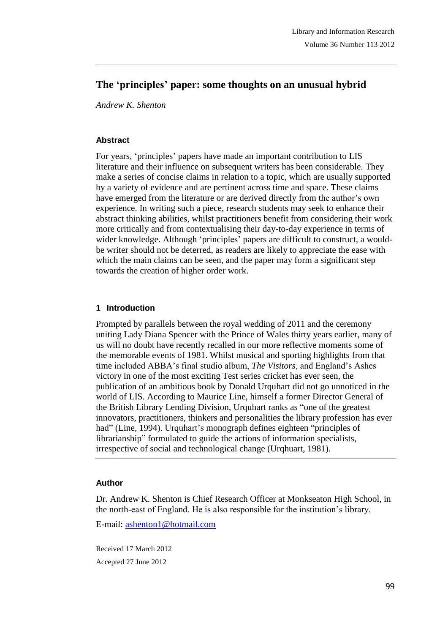# **The 'principles' paper: some thoughts on an unusual hybrid**

*Andrew K. Shenton*

#### **Abstract**

For years, 'principles' papers have made an important contribution to LIS literature and their influence on subsequent writers has been considerable. They make a series of concise claims in relation to a topic, which are usually supported by a variety of evidence and are pertinent across time and space. These claims have emerged from the literature or are derived directly from the author's own experience. In writing such a piece, research students may seek to enhance their abstract thinking abilities, whilst practitioners benefit from considering their work more critically and from contextualising their day-to-day experience in terms of wider knowledge. Although 'principles' papers are difficult to construct, a wouldbe writer should not be deterred, as readers are likely to appreciate the ease with which the main claims can be seen, and the paper may form a significant step towards the creation of higher order work.

#### **1 Introduction**

Prompted by parallels between the royal wedding of 2011 and the ceremony uniting Lady Diana Spencer with the Prince of Wales thirty years earlier, many of us will no doubt have recently recalled in our more reflective moments some of the memorable events of 1981. Whilst musical and sporting highlights from that time included ABBA's final studio album, *The Visitors*, and England's Ashes victory in one of the most exciting Test series cricket has ever seen, the publication of an ambitious book by Donald Urquhart did not go unnoticed in the world of LIS. According to Maurice Line, himself a former Director General of the British Library Lending Division, Urquhart ranks as "one of the greatest innovators, practitioners, thinkers and personalities the library profession has ever had" (Line, 1994). Urquhart's monograph defines eighteen "principles of librarianship" formulated to guide the actions of information specialists, irrespective of social and technological change (Urqhuart, 1981).

#### **Author**

Dr. Andrew K. Shenton is Chief Research Officer at Monkseaton High School, in the north-east of England. He is also responsible for the institution's library.

E-mail: ashenton1@hotmail.com

Received 17 March 2012 Accepted 27 June 2012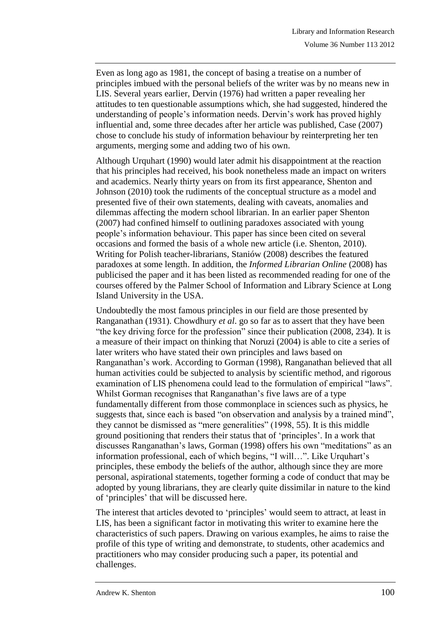Even as long ago as 1981, the concept of basing a treatise on a number of principles imbued with the personal beliefs of the writer was by no means new in LIS. Several years earlier, Dervin (1976) had written a paper revealing her attitudes to ten questionable assumptions which, she had suggested, hindered the understanding of people's information needs. Dervin's work has proved highly influential and, some three decades after her article was published, Case (2007) chose to conclude his study of information behaviour by reinterpreting her ten arguments, merging some and adding two of his own.

Although Urquhart (1990) would later admit his disappointment at the reaction that his principles had received, his book nonetheless made an impact on writers and academics. Nearly thirty years on from its first appearance, Shenton and Johnson (2010) took the rudiments of the conceptual structure as a model and presented five of their own statements, dealing with caveats, anomalies and dilemmas affecting the modern school librarian. In an earlier paper Shenton (2007) had confined himself to outlining paradoxes associated with young people's information behaviour. This paper has since been cited on several occasions and formed the basis of a whole new article (i.e. Shenton, 2010). Writing for Polish teacher-librarians, Staniów (2008) describes the featured paradoxes at some length. In addition, the *Informed Librarian Online* (2008) has publicised the paper and it has been listed as recommended reading for one of the courses offered by the Palmer School of Information and Library Science at Long Island University in the USA.

Undoubtedly the most famous principles in our field are those presented by Ranganathan (1931). Chowdhury *et al*. go so far as to assert that they have been "the key driving force for the profession" since their publication (2008, 234). It is a measure of their impact on thinking that Noruzi (2004) is able to cite a series of later writers who have stated their own principles and laws based on Ranganathan's work. According to Gorman (1998), Ranganathan believed that all human activities could be subjected to analysis by scientific method, and rigorous examination of LIS phenomena could lead to the formulation of empirical "laws". Whilst Gorman recognises that Ranganathan's five laws are of a type fundamentally different from those commonplace in sciences such as physics, he suggests that, since each is based "on observation and analysis by a trained mind", they cannot be dismissed as "mere generalities" (1998, 55). It is this middle ground positioning that renders their status that of 'principles'. In a work that discusses Ranganathan's laws, Gorman (1998) offers his own "meditations" as an information professional, each of which begins, "I will…". Like Urquhart's principles, these embody the beliefs of the author, although since they are more personal, aspirational statements, together forming a code of conduct that may be adopted by young librarians, they are clearly quite dissimilar in nature to the kind of 'principles' that will be discussed here.

The interest that articles devoted to 'principles' would seem to attract, at least in LIS, has been a significant factor in motivating this writer to examine here the characteristics of such papers. Drawing on various examples, he aims to raise the profile of this type of writing and demonstrate, to students, other academics and practitioners who may consider producing such a paper, its potential and challenges.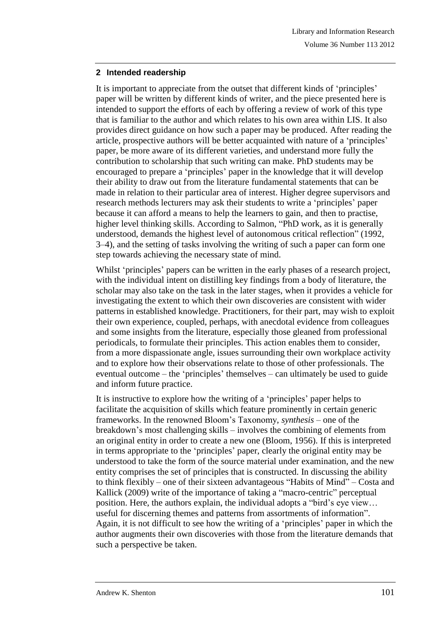## **2 Intended readership**

It is important to appreciate from the outset that different kinds of 'principles' paper will be written by different kinds of writer, and the piece presented here is intended to support the efforts of each by offering a review of work of this type that is familiar to the author and which relates to his own area within LIS. It also provides direct guidance on how such a paper may be produced. After reading the article, prospective authors will be better acquainted with nature of a 'principles' paper, be more aware of its different varieties, and understand more fully the contribution to scholarship that such writing can make. PhD students may be encouraged to prepare a 'principles' paper in the knowledge that it will develop their ability to draw out from the literature fundamental statements that can be made in relation to their particular area of interest. Higher degree supervisors and research methods lecturers may ask their students to write a 'principles' paper because it can afford a means to help the learners to gain, and then to practise, higher level thinking skills. According to Salmon, "PhD work, as it is generally understood, demands the highest level of autonomous critical reflection" (1992, 3–4), and the setting of tasks involving the writing of such a paper can form one step towards achieving the necessary state of mind.

Whilst 'principles' papers can be written in the early phases of a research project, with the individual intent on distilling key findings from a body of literature, the scholar may also take on the task in the later stages, when it provides a vehicle for investigating the extent to which their own discoveries are consistent with wider patterns in established knowledge. Practitioners, for their part, may wish to exploit their own experience, coupled, perhaps, with anecdotal evidence from colleagues and some insights from the literature, especially those gleaned from professional periodicals, to formulate their principles. This action enables them to consider, from a more dispassionate angle, issues surrounding their own workplace activity and to explore how their observations relate to those of other professionals. The eventual outcome – the 'principles' themselves – can ultimately be used to guide and inform future practice.

It is instructive to explore how the writing of a 'principles' paper helps to facilitate the acquisition of skills which feature prominently in certain generic frameworks. In the renowned Bloom's Taxonomy, *synthesis* – one of the breakdown's most challenging skills – involves the combining of elements from an original entity in order to create a new one (Bloom, 1956). If this is interpreted in terms appropriate to the 'principles' paper, clearly the original entity may be understood to take the form of the source material under examination, and the new entity comprises the set of principles that is constructed. In discussing the ability to think flexibly – one of their sixteen advantageous "Habits of Mind" – Costa and Kallick (2009) write of the importance of taking a "macro-centric" perceptual position. Here, the authors explain, the individual adopts a "bird's eye view… useful for discerning themes and patterns from assortments of information". Again, it is not difficult to see how the writing of a 'principles' paper in which the author augments their own discoveries with those from the literature demands that such a perspective be taken.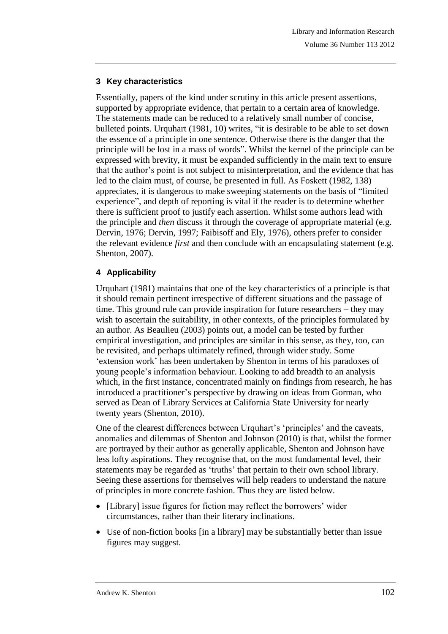# **3 Key characteristics**

Essentially, papers of the kind under scrutiny in this article present assertions, supported by appropriate evidence, that pertain to a certain area of knowledge. The statements made can be reduced to a relatively small number of concise, bulleted points. Urquhart (1981, 10) writes, "it is desirable to be able to set down the essence of a principle in one sentence. Otherwise there is the danger that the principle will be lost in a mass of words". Whilst the kernel of the principle can be expressed with brevity, it must be expanded sufficiently in the main text to ensure that the author's point is not subject to misinterpretation, and the evidence that has led to the claim must, of course, be presented in full. As Foskett (1982, 138) appreciates, it is dangerous to make sweeping statements on the basis of "limited experience", and depth of reporting is vital if the reader is to determine whether there is sufficient proof to justify each assertion. Whilst some authors lead with the principle and *then* discuss it through the coverage of appropriate material (e.g. Dervin, 1976; Dervin, 1997; Faibisoff and Ely, 1976), others prefer to consider the relevant evidence *first* and then conclude with an encapsulating statement (e.g. Shenton, 2007).

## **4 Applicability**

Urquhart (1981) maintains that one of the key characteristics of a principle is that it should remain pertinent irrespective of different situations and the passage of time. This ground rule can provide inspiration for future researchers – they may wish to ascertain the suitability, in other contexts, of the principles formulated by an author. As Beaulieu (2003) points out, a model can be tested by further empirical investigation, and principles are similar in this sense, as they, too, can be revisited, and perhaps ultimately refined, through wider study. Some 'extension work' has been undertaken by Shenton in terms of his paradoxes of young people's information behaviour. Looking to add breadth to an analysis which, in the first instance, concentrated mainly on findings from research, he has introduced a practitioner's perspective by drawing on ideas from Gorman, who served as Dean of Library Services at California State University for nearly twenty years (Shenton, 2010).

One of the clearest differences between Urquhart's 'principles' and the caveats, anomalies and dilemmas of Shenton and Johnson (2010) is that, whilst the former are portrayed by their author as generally applicable, Shenton and Johnson have less lofty aspirations. They recognise that, on the most fundamental level, their statements may be regarded as 'truths' that pertain to their own school library. Seeing these assertions for themselves will help readers to understand the nature of principles in more concrete fashion. Thus they are listed below.

- [Library] issue figures for fiction may reflect the borrowers' wider circumstances, rather than their literary inclinations.
- Use of non-fiction books [in a library] may be substantially better than issue figures may suggest.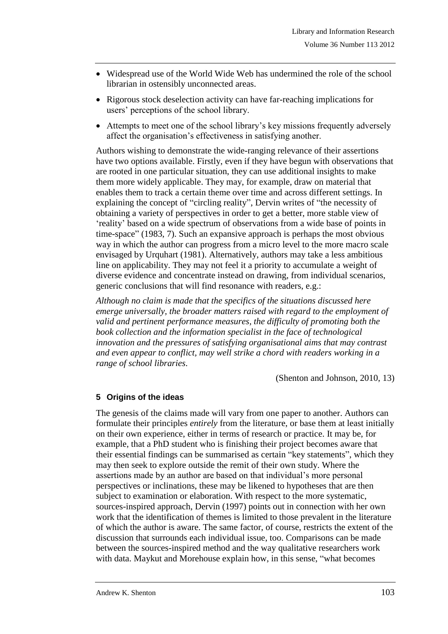- Widespread use of the World Wide Web has undermined the role of the school librarian in ostensibly unconnected areas.
- Rigorous stock deselection activity can have far-reaching implications for users' perceptions of the school library.
- Attempts to meet one of the school library's key missions frequently adversely affect the organisation's effectiveness in satisfying another.

Authors wishing to demonstrate the wide-ranging relevance of their assertions have two options available. Firstly, even if they have begun with observations that are rooted in one particular situation, they can use additional insights to make them more widely applicable. They may, for example, draw on material that enables them to track a certain theme over time and across different settings. In explaining the concept of "circling reality", Dervin writes of "the necessity of obtaining a variety of perspectives in order to get a better, more stable view of 'reality' based on a wide spectrum of observations from a wide base of points in time-space" (1983, 7). Such an expansive approach is perhaps the most obvious way in which the author can progress from a micro level to the more macro scale envisaged by Urquhart (1981). Alternatively, authors may take a less ambitious line on applicability. They may not feel it a priority to accumulate a weight of diverse evidence and concentrate instead on drawing, from individual scenarios, generic conclusions that will find resonance with readers, e.g.:

*Although no claim is made that the specifics of the situations discussed here emerge universally, the broader matters raised with regard to the employment of valid and pertinent performance measures, the difficulty of promoting both the book collection and the information specialist in the face of technological innovation and the pressures of satisfying organisational aims that may contrast and even appear to conflict, may well strike a chord with readers working in a range of school libraries*.

(Shenton and Johnson, 2010, 13)

## **5 Origins of the ideas**

The genesis of the claims made will vary from one paper to another. Authors can formulate their principles *entirely* from the literature, or base them at least initially on their own experience, either in terms of research or practice. It may be, for example, that a PhD student who is finishing their project becomes aware that their essential findings can be summarised as certain "key statements", which they may then seek to explore outside the remit of their own study. Where the assertions made by an author are based on that individual's more personal perspectives or inclinations, these may be likened to hypotheses that are then subject to examination or elaboration. With respect to the more systematic, sources-inspired approach, Dervin (1997) points out in connection with her own work that the identification of themes is limited to those prevalent in the literature of which the author is aware. The same factor, of course, restricts the extent of the discussion that surrounds each individual issue, too. Comparisons can be made between the sources-inspired method and the way qualitative researchers work with data. Maykut and Morehouse explain how, in this sense, "what becomes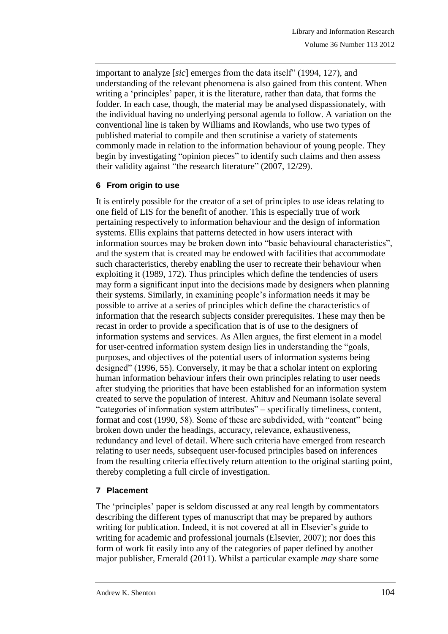important to analyze [*sic*] emerges from the data itself" (1994, 127), and understanding of the relevant phenomena is also gained from this content. When writing a 'principles' paper, it is the literature, rather than data, that forms the fodder. In each case, though, the material may be analysed dispassionately, with the individual having no underlying personal agenda to follow. A variation on the conventional line is taken by Williams and Rowlands, who use two types of published material to compile and then scrutinise a variety of statements commonly made in relation to the information behaviour of young people. They begin by investigating "opinion pieces" to identify such claims and then assess their validity against "the research literature" (2007, 12/29).

## **6 From origin to use**

It is entirely possible for the creator of a set of principles to use ideas relating to one field of LIS for the benefit of another. This is especially true of work pertaining respectively to information behaviour and the design of information systems. Ellis explains that patterns detected in how users interact with information sources may be broken down into "basic behavioural characteristics", and the system that is created may be endowed with facilities that accommodate such characteristics, thereby enabling the user to recreate their behaviour when exploiting it (1989, 172). Thus principles which define the tendencies of users may form a significant input into the decisions made by designers when planning their systems. Similarly, in examining people's information needs it may be possible to arrive at a series of principles which define the characteristics of information that the research subjects consider prerequisites. These may then be recast in order to provide a specification that is of use to the designers of information systems and services. As Allen argues, the first element in a model for user-centred information system design lies in understanding the "goals, purposes, and objectives of the potential users of information systems being designed" (1996, 55). Conversely, it may be that a scholar intent on exploring human information behaviour infers their own principles relating to user needs after studying the priorities that have been established for an information system created to serve the population of interest. Ahituv and Neumann isolate several "categories of information system attributes" – specifically timeliness, content, format and cost (1990, 58). Some of these are subdivided, with "content" being broken down under the headings, accuracy, relevance, exhaustiveness, redundancy and level of detail. Where such criteria have emerged from research relating to user needs, subsequent user-focused principles based on inferences from the resulting criteria effectively return attention to the original starting point, thereby completing a full circle of investigation.

# **7 Placement**

The 'principles' paper is seldom discussed at any real length by commentators describing the different types of manuscript that may be prepared by authors writing for publication. Indeed, it is not covered at all in Elsevier's guide to writing for academic and professional journals (Elsevier, 2007); nor does this form of work fit easily into any of the categories of paper defined by another major publisher, Emerald (2011). Whilst a particular example *may* share some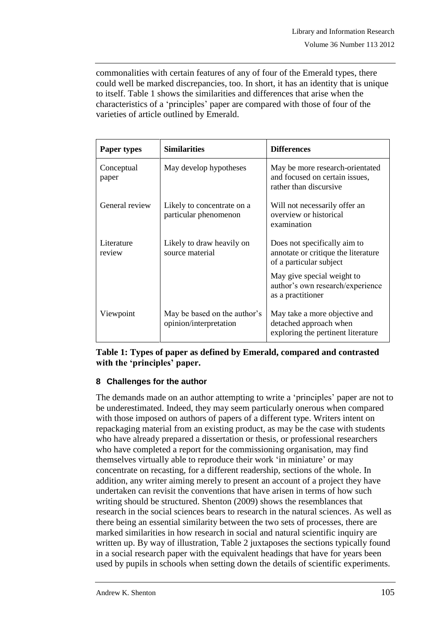commonalities with certain features of any of four of the Emerald types, there could well be marked discrepancies, too. In short, it has an identity that is unique to itself. Table 1 shows the similarities and differences that arise when the characteristics of a 'principles' paper are compared with those of four of the varieties of article outlined by Emerald.

| Paper types          | <b>Similarities</b>                                    | <b>Differences</b>                                                                             |
|----------------------|--------------------------------------------------------|------------------------------------------------------------------------------------------------|
| Conceptual<br>paper  | May develop hypotheses                                 | May be more research-orientated<br>and focused on certain issues,<br>rather than discursive    |
| General review       | Likely to concentrate on a<br>particular phenomenon    | Will not necessarily offer an<br>overview or historical<br>examination                         |
| Literature<br>review | Likely to draw heavily on<br>source material           | Does not specifically aim to<br>annotate or critique the literature<br>of a particular subject |
|                      |                                                        | May give special weight to<br>author's own research/experience<br>as a practitioner            |
| Viewpoint            | May be based on the author's<br>opinion/interpretation | May take a more objective and<br>detached approach when<br>exploring the pertinent literature  |

## **Table 1: Types of paper as defined by Emerald, compared and contrasted with the 'principles' paper.**

# **8 Challenges for the author**

The demands made on an author attempting to write a 'principles' paper are not to be underestimated. Indeed, they may seem particularly onerous when compared with those imposed on authors of papers of a different type. Writers intent on repackaging material from an existing product, as may be the case with students who have already prepared a dissertation or thesis, or professional researchers who have completed a report for the commissioning organisation, may find themselves virtually able to reproduce their work 'in miniature' or may concentrate on recasting, for a different readership, sections of the whole. In addition, any writer aiming merely to present an account of a project they have undertaken can revisit the conventions that have arisen in terms of how such writing should be structured. Shenton (2009) shows the resemblances that research in the social sciences bears to research in the natural sciences. As well as there being an essential similarity between the two sets of processes, there are marked similarities in how research in social and natural scientific inquiry are written up. By way of illustration, Table 2 juxtaposes the sections typically found in a social research paper with the equivalent headings that have for years been used by pupils in schools when setting down the details of scientific experiments.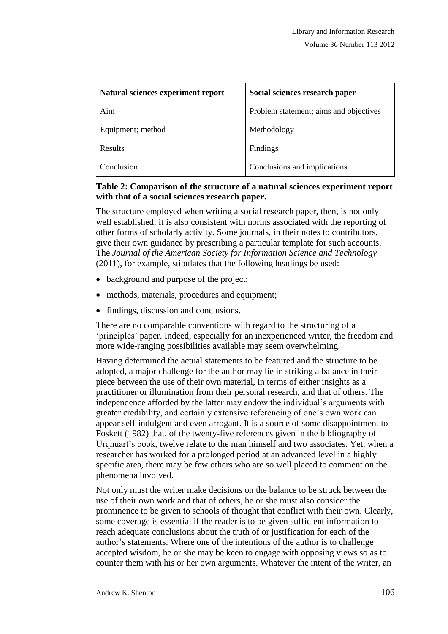| Natural sciences experiment report | Social sciences research paper         |
|------------------------------------|----------------------------------------|
| Aim                                | Problem statement; aims and objectives |
| Equipment; method                  | Methodology                            |
| <b>Results</b>                     | Findings                               |
| Conclusion                         | Conclusions and implications           |

## **Table 2: Comparison of the structure of a natural sciences experiment report with that of a social sciences research paper.**

The structure employed when writing a social research paper, then, is not only well established; it is also consistent with norms associated with the reporting of other forms of scholarly activity. Some journals, in their notes to contributors, give their own guidance by prescribing a particular template for such accounts. The *Journal of the American Society for Information Science and Technology* (2011), for example, stipulates that the following headings be used:

- background and purpose of the project;
- methods, materials, procedures and equipment;
- findings, discussion and conclusions.

There are no comparable conventions with regard to the structuring of a 'principles' paper. Indeed, especially for an inexperienced writer, the freedom and more wide-ranging possibilities available may seem overwhelming.

Having determined the actual statements to be featured and the structure to be adopted, a major challenge for the author may lie in striking a balance in their piece between the use of their own material, in terms of either insights as a practitioner or illumination from their personal research, and that of others. The independence afforded by the latter may endow the individual's arguments with greater credibility, and certainly extensive referencing of one's own work can appear self-indulgent and even arrogant. It is a source of some disappointment to Foskett (1982) that, of the twenty-five references given in the bibliography of Urqhuart's book, twelve relate to the man himself and two associates. Yet, when a researcher has worked for a prolonged period at an advanced level in a highly specific area, there may be few others who are so well placed to comment on the phenomena involved.

Not only must the writer make decisions on the balance to be struck between the use of their own work and that of others, he or she must also consider the prominence to be given to schools of thought that conflict with their own. Clearly, some coverage is essential if the reader is to be given sufficient information to reach adequate conclusions about the truth of or justification for each of the author's statements. Where one of the intentions of the author is to challenge accepted wisdom, he or she may be keen to engage with opposing views so as to counter them with his or her own arguments. Whatever the intent of the writer, an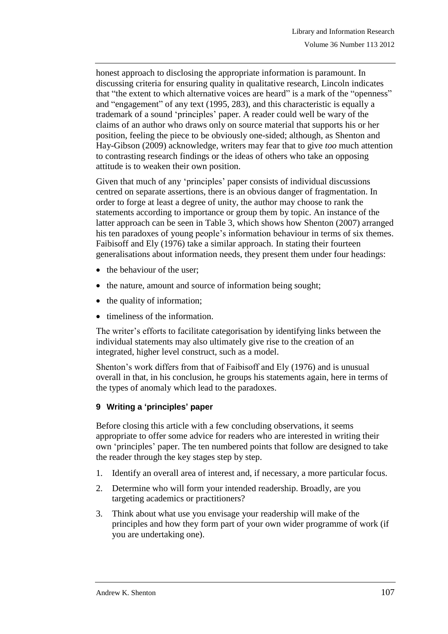honest approach to disclosing the appropriate information is paramount. In discussing criteria for ensuring quality in qualitative research, Lincoln indicates that "the extent to which alternative voices are heard" is a mark of the "openness" and "engagement" of any text (1995, 283), and this characteristic is equally a trademark of a sound 'principles' paper. A reader could well be wary of the claims of an author who draws only on source material that supports his or her position, feeling the piece to be obviously one-sided; although, as Shenton and Hay-Gibson (2009) acknowledge, writers may fear that to give *too* much attention to contrasting research findings or the ideas of others who take an opposing attitude is to weaken their own position.

Given that much of any 'principles' paper consists of individual discussions centred on separate assertions, there is an obvious danger of fragmentation. In order to forge at least a degree of unity, the author may choose to rank the statements according to importance or group them by topic. An instance of the latter approach can be seen in Table 3, which shows how Shenton (2007) arranged his ten paradoxes of young people's information behaviour in terms of six themes. Faibisoff and Ely (1976) take a similar approach. In stating their fourteen generalisations about information needs, they present them under four headings:

- $\bullet$  the behaviour of the user:
- the nature, amount and source of information being sought;
- the quality of information;
- timeliness of the information.

The writer's efforts to facilitate categorisation by identifying links between the individual statements may also ultimately give rise to the creation of an integrated, higher level construct, such as a model.

Shenton's work differs from that of Faibisoff and Ely (1976) and is unusual overall in that, in his conclusion, he groups his statements again, here in terms of the types of anomaly which lead to the paradoxes.

## **9 Writing a 'principles' paper**

Before closing this article with a few concluding observations, it seems appropriate to offer some advice for readers who are interested in writing their own 'principles' paper. The ten numbered points that follow are designed to take the reader through the key stages step by step.

- 1. Identify an overall area of interest and, if necessary, a more particular focus.
- 2. Determine who will form your intended readership. Broadly, are you targeting academics or practitioners?
- 3. Think about what use you envisage your readership will make of the principles and how they form part of your own wider programme of work (if you are undertaking one).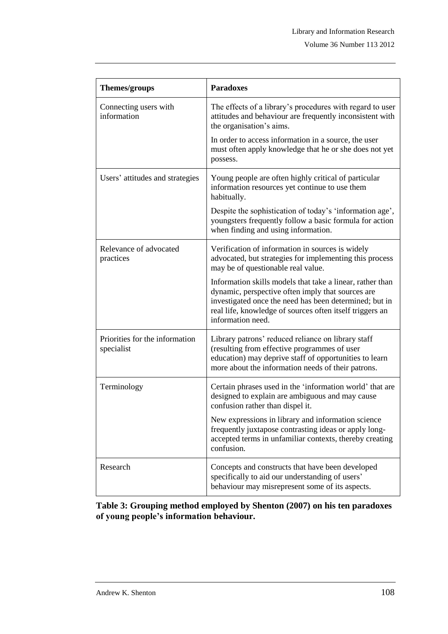| Themes/groups                                | <b>Paradoxes</b>                                                                                                                                                                                                                                          |
|----------------------------------------------|-----------------------------------------------------------------------------------------------------------------------------------------------------------------------------------------------------------------------------------------------------------|
| Connecting users with<br>information         | The effects of a library's procedures with regard to user<br>attitudes and behaviour are frequently inconsistent with<br>the organisation's aims.                                                                                                         |
|                                              | In order to access information in a source, the user<br>must often apply knowledge that he or she does not yet<br>possess.                                                                                                                                |
| Users' attitudes and strategies              | Young people are often highly critical of particular<br>information resources yet continue to use them<br>habitually.                                                                                                                                     |
|                                              | Despite the sophistication of today's 'information age',<br>youngsters frequently follow a basic formula for action<br>when finding and using information.                                                                                                |
| Relevance of advocated<br>practices          | Verification of information in sources is widely<br>advocated, but strategies for implementing this process<br>may be of questionable real value.                                                                                                         |
|                                              | Information skills models that take a linear, rather than<br>dynamic, perspective often imply that sources are<br>investigated once the need has been determined; but in<br>real life, knowledge of sources often itself triggers an<br>information need. |
| Priorities for the information<br>specialist | Library patrons' reduced reliance on library staff<br>(resulting from effective programmes of user<br>education) may deprive staff of opportunities to learn<br>more about the information needs of their patrons.                                        |
| Terminology                                  | Certain phrases used in the 'information world' that are<br>designed to explain are ambiguous and may cause<br>confusion rather than dispel it.                                                                                                           |
|                                              | New expressions in library and information science<br>frequently juxtapose contrasting ideas or apply long-<br>accepted terms in unfamiliar contexts, thereby creating<br>confusion.                                                                      |
| Research                                     | Concepts and constructs that have been developed<br>specifically to aid our understanding of users'<br>behaviour may misrepresent some of its aspects.                                                                                                    |

**Table 3: Grouping method employed by Shenton (2007) on his ten paradoxes of young people's information behaviour.**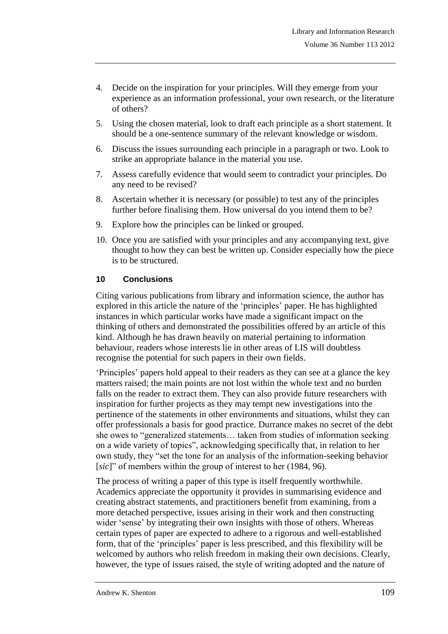- 4. Decide on the inspiration for your principles. Will they emerge from your experience as an information professional, your own research, or the literature of others?
- 5. Using the chosen material, look to draft each principle as a short statement. It should be a one-sentence summary of the relevant knowledge or wisdom.
- 6. Discuss the issues surrounding each principle in a paragraph or two. Look to strike an appropriate balance in the material you use.
- 7. Assess carefully evidence that would seem to contradict your principles. Do any need to be revised?
- 8. Ascertain whether it is necessary (or possible) to test any of the principles further before finalising them. How universal do you intend them to be?
- 9. Explore how the principles can be linked or grouped.
- 10. Once you are satisfied with your principles and any accompanying text, give thought to how they can best be written up. Consider especially how the piece is to be structured.

#### **10 Conclusions**

Citing various publications from library and information science, the author has explored in this article the nature of the 'principles' paper. He has highlighted instances in which particular works have made a significant impact on the thinking of others and demonstrated the possibilities offered by an article of this kind. Although he has drawn heavily on material pertaining to information behaviour, readers whose interests lie in other areas of LIS will doubtless recognise the potential for such papers in their own fields.

'Principles' papers hold appeal to their readers as they can see at a glance the key matters raised; the main points are not lost within the whole text and no burden falls on the reader to extract them. They can also provide future researchers with inspiration for further projects as they may tempt new investigations into the pertinence of the statements in other environments and situations, whilst they can offer professionals a basis for good practice. Durrance makes no secret of the debt she owes to "generalized statements… taken from studies of information seeking on a wide variety of topics", acknowledging specifically that, in relation to her own study, they "set the tone for an analysis of the information-seeking behavior [*sic*]" of members within the group of interest to her (1984, 96).

The process of writing a paper of this type is itself frequently worthwhile. Academics appreciate the opportunity it provides in summarising evidence and creating abstract statements, and practitioners benefit from examining, from a more detached perspective, issues arising in their work and then constructing wider 'sense' by integrating their own insights with those of others. Whereas certain types of paper are expected to adhere to a rigorous and well-established form, that of the 'principles' paper is less prescribed, and this flexibility will be welcomed by authors who relish freedom in making their own decisions. Clearly, however, the type of issues raised, the style of writing adopted and the nature of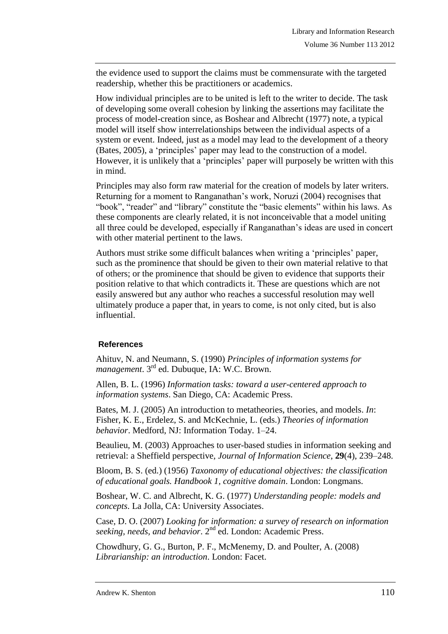the evidence used to support the claims must be commensurate with the targeted readership, whether this be practitioners or academics.

How individual principles are to be united is left to the writer to decide. The task of developing some overall cohesion by linking the assertions may facilitate the process of model-creation since, as Boshear and Albrecht (1977) note, a typical model will itself show interrelationships between the individual aspects of a system or event. Indeed, just as a model may lead to the development of a theory (Bates, 2005), a 'principles' paper may lead to the construction of a model. However, it is unlikely that a 'principles' paper will purposely be written with this in mind.

Principles may also form raw material for the creation of models by later writers. Returning for a moment to Ranganathan's work, Noruzi (2004) recognises that "book", "reader" and "library" constitute the "basic elements" within his laws. As these components are clearly related, it is not inconceivable that a model uniting all three could be developed, especially if Ranganathan's ideas are used in concert with other material pertinent to the laws.

Authors must strike some difficult balances when writing a 'principles' paper, such as the prominence that should be given to their own material relative to that of others; or the prominence that should be given to evidence that supports their position relative to that which contradicts it. These are questions which are not easily answered but any author who reaches a successful resolution may well ultimately produce a paper that, in years to come, is not only cited, but is also influential.

## **References**

Ahituv, N. and Neumann, S. (1990) *Principles of information systems for*  management. 3<sup>rd</sup> ed. Dubuque, IA: W.C. Brown.

Allen, B. L. (1996) *Information tasks: toward a user-centered approach to information systems*. San Diego, CA: Academic Press.

Bates, M. J. (2005) An introduction to metatheories, theories, and models. *In*: Fisher, K. E., Erdelez, S. and McKechnie, L. (eds.) *Theories of information behavior*. Medford, NJ: Information Today. 1–24.

Beaulieu, M. (2003) Approaches to user-based studies in information seeking and retrieval: a Sheffield perspective, *Journal of Information Science*, **29**(4), 239–248.

Bloom, B. S. (ed.) (1956) *Taxonomy of educational objectives: the classification of educational goals. Handbook 1, cognitive domain*. London: Longmans.

Boshear, W. C. and Albrecht, K. G. (1977) *Understanding people: models and concepts*. La Jolla, CA: University Associates.

Case, D. O. (2007) *Looking for information: a survey of research on information*  seeking, needs, and behavior. 2<sup>nd</sup> ed. London: Academic Press.

Chowdhury, G. G., Burton, P. F., McMenemy, D. and Poulter, A. (2008) *Librarianship: an introduction*. London: Facet.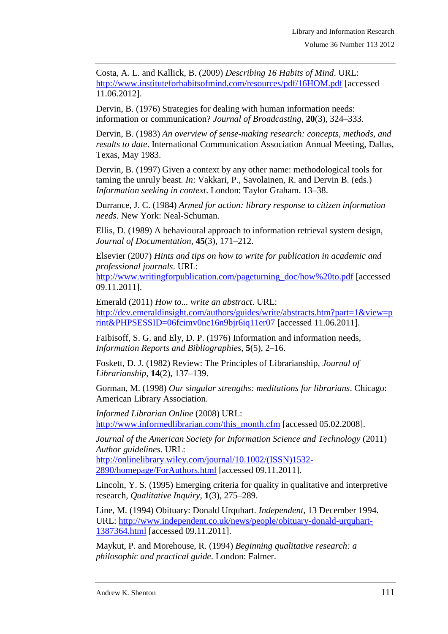Costa, A. L. and Kallick, B. (2009) *Describing 16 Habits of Mind*. URL: <http://www.instituteforhabitsofmind.com/resources/pdf/16HOM.pdf> [accessed 11.06.2012].

Dervin, B. (1976) Strategies for dealing with human information needs: information or communication? *Journal of Broadcasting*, **20**(3), 324–333.

Dervin, B. (1983) *An overview of sense-making research: concepts, methods, and results to date*. International Communication Association Annual Meeting, Dallas, Texas, May 1983.

Dervin, B. (1997) Given a context by any other name: methodological tools for taming the unruly beast. *In*: Vakkari, P., Savolainen, R. and Dervin B. (eds.) *Information seeking in context*. London: Taylor Graham. 13–38.

Durrance, J. C. (1984) *Armed for action: library response to citizen information needs*. New York: Neal-Schuman.

Ellis, D. (1989) A behavioural approach to information retrieval system design, *Journal of Documentation*, **45**(3), 171–212.

Elsevier (2007) *Hints and tips on how to write for publication in academic and professional journals*. URL:

[http://www.writingforpublication.com/pageturning\\_doc/how%20to.pdf](http://www.writingforpublication.com/pageturning_doc/how%20to.pdf) [accessed 09.11.2011].

Emerald (2011) *How to... write an abstract*. URL: [http://dev.emeraldinsight.com/authors/guides/write/abstracts.htm?part=1&view=p](http://dev.emeraldinsight.com/authors/guides/write/abstracts.htm?part=1&view=print&PHPSESSID=06fcimv0nc16n9bjr6iq11er07) [rint&PHPSESSID=06fcimv0nc16n9bjr6iq11er07](http://dev.emeraldinsight.com/authors/guides/write/abstracts.htm?part=1&view=print&PHPSESSID=06fcimv0nc16n9bjr6iq11er07) [accessed 11.06.2011].

Faibisoff, S. G. and Ely, D. P. (1976) Information and information needs, *Information Reports and Bibliographies*, **5**(5), 2–16.

Foskett, D. J. (1982) Review: The Principles of Librarianship, *Journal of Librarianship*, **14**(2), 137–139.

Gorman, M. (1998) *Our singular strengths: meditations for librarians*. Chicago: American Library Association.

*Informed Librarian Online* (2008) URL: [http://www.informedlibrarian.com/this\\_month.cfm](http://www.informedlibrarian.com/this_month.cfm) [accessed 05.02.2008].

*Journal of the American Society for Information Science and Technology* (2011) *Author guidelines*. URL:

[http://onlinelibrary.wiley.com/journal/10.1002/\(ISSN\)1532-](http://onlinelibrary.wiley.com/journal/10.1002/(ISSN)1532-2890/homepage/ForAuthors.html) [2890/homepage/ForAuthors.html](http://onlinelibrary.wiley.com/journal/10.1002/(ISSN)1532-2890/homepage/ForAuthors.html) [accessed 09.11.2011].

Lincoln, Y. S. (1995) Emerging criteria for quality in qualitative and interpretive research, *Qualitative Inquiry*, **1**(3), 275–289.

Line, M. (1994) Obituary: Donald Urquhart. *Independent*, 13 December 1994. URL: [http://www.independent.co.uk/news/people/obituary-donald-urquhart-](http://www.independent.co.uk/news/people/obituary-donald-urquhart-1387364.html)[1387364.html](http://www.independent.co.uk/news/people/obituary-donald-urquhart-1387364.html) [accessed 09.11.2011].

Maykut, P. and Morehouse, R. (1994) *Beginning qualitative research: a philosophic and practical guide*. London: Falmer.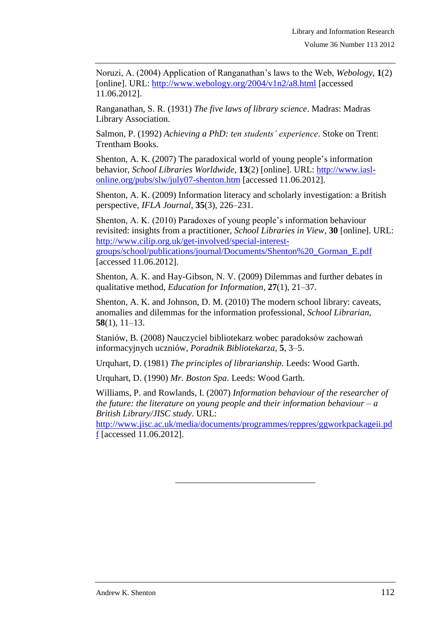Noruzi, A. (2004) Application of Ranganathan's laws to the Web, *Webology*, **1**(2) [online]. URL:<http://www.webology.org/2004/v1n2/a8.html> [accessed 11.06.2012].

Ranganathan, S. R. (1931) *The five laws of library science*. Madras: Madras Library Association.

Salmon, P. (1992) *Achieving a PhD: ten students' experience*. Stoke on Trent: Trentham Books.

Shenton, A. K. (2007) The paradoxical world of young people's information behavior, *School Libraries Worldwide*, **13**(2) [online]. URL: [http://www.iasl](http://www.iasl-online.org/pubs/slw/july07-shenton.htm)[online.org/pubs/slw/july07-shenton.htm](http://www.iasl-online.org/pubs/slw/july07-shenton.htm) [accessed 11.06.2012].

Shenton, A. K. (2009) Information literacy and scholarly investigation: a British perspective, *IFLA Journal*, **35**(3), 226–231.

Shenton, A. K. (2010) Paradoxes of young people's information behaviour revisited: insights from a practitioner, *School Libraries in View*, **30** [online]. URL: [http://www.cilip.org.uk/get-involved/special-interest-](http://www.cilip.org.uk/get-involved/special-interest-groups/school/publications/journal/Documents/Shenton%20_Gorman_E.pdf)

[groups/school/publications/journal/Documents/Shenton%20\\_Gorman\\_E.pdf](http://www.cilip.org.uk/get-involved/special-interest-groups/school/publications/journal/Documents/Shenton%20_Gorman_E.pdf) [accessed 11.06.2012].

Shenton, A. K. and Hay-Gibson, N. V. (2009) Dilemmas and further debates in qualitative method, *Education for Information*, **27**(1), 21–37.

Shenton, A. K. and Johnson, D. M. (2010) The modern school library: caveats, anomalies and dilemmas for the information professional, *School Librarian*, **58**(1), 11–13.

Staniów, B. (2008) Nauczyciel bibliotekarz wobec paradoksów zachowań informacyjnych uczniów, *Poradnik Bibliotekarza*, **5**, 3–5.

Urquhart, D. (1981) *The principles of librarianship*. Leeds: Wood Garth.

Urquhart, D. (1990) *Mr. Boston Spa*. Leeds: Wood Garth.

Williams, P. and Rowlands, I. (2007) *Information behaviour of the researcher of the future: the literature on young people and their information behaviour – a British Library/JISC study*. URL:

[http://www.jisc.ac.uk/media/documents/programmes/reppres/ggworkpackageii.pd](http://www.jisc.ac.uk/media/documents/programmes/reppres/ggworkpackageii.pdf) [f](http://www.jisc.ac.uk/media/documents/programmes/reppres/ggworkpackageii.pdf) [accessed 11.06.2012].

\_\_\_\_\_\_\_\_\_\_\_\_\_\_\_\_\_\_\_\_\_\_\_\_\_\_\_\_\_\_\_